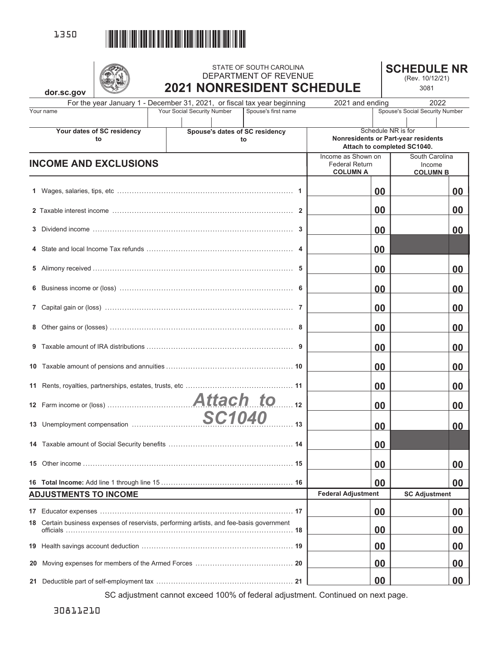

|    |                                                                                          |                                  |                                | STATE OF SOUTH CAROLINA<br>DEPARTMENT OF REVENUE                         |                                                                |                | <b>SCHEDULE NR</b>                                | (Rev. 10/12/21)                             |    |
|----|------------------------------------------------------------------------------------------|----------------------------------|--------------------------------|--------------------------------------------------------------------------|----------------------------------------------------------------|----------------|---------------------------------------------------|---------------------------------------------|----|
|    | dor.sc.gov                                                                               |                                  |                                | <b>2021 NONRESIDENT SCHEDULE</b>                                         |                                                                |                |                                                   | 3081                                        |    |
|    |                                                                                          |                                  |                                | For the year January 1 - December 31, 2021, or fiscal tax year beginning | 2021 and ending                                                |                |                                                   | 2022                                        |    |
|    | Your name                                                                                |                                  | Your Social Security Number    | Spouse's first name                                                      |                                                                |                | Spouse's Social Security Number                   |                                             |    |
|    |                                                                                          | Your dates of SC residency<br>to | Spouse's dates of SC residency | to                                                                       | Nonresidents or Part-year residents                            |                | Schedule NR is for<br>Attach to completed SC1040. |                                             |    |
|    | <b>INCOME AND EXCLUSIONS</b>                                                             |                                  |                                |                                                                          | Income as Shown on<br><b>Federal Return</b><br><b>COLUMN A</b> |                |                                                   | South Carolina<br>Income<br><b>COLUMN B</b> |    |
|    |                                                                                          |                                  |                                |                                                                          |                                                                | 00             |                                                   |                                             | 00 |
|    |                                                                                          |                                  |                                |                                                                          |                                                                | 00             |                                                   |                                             | 00 |
|    |                                                                                          |                                  |                                |                                                                          |                                                                | 00             |                                                   |                                             | 00 |
|    |                                                                                          |                                  |                                |                                                                          |                                                                | 00             |                                                   |                                             |    |
|    |                                                                                          |                                  |                                |                                                                          |                                                                | 00             |                                                   |                                             | 00 |
|    |                                                                                          |                                  |                                |                                                                          |                                                                | 00             |                                                   |                                             | 00 |
|    |                                                                                          |                                  |                                |                                                                          |                                                                | 00             |                                                   |                                             | 00 |
|    |                                                                                          |                                  |                                |                                                                          |                                                                | 00             |                                                   |                                             | 00 |
|    |                                                                                          |                                  |                                |                                                                          |                                                                | 00             |                                                   |                                             | 00 |
|    |                                                                                          |                                  |                                |                                                                          |                                                                | 00             |                                                   |                                             | 00 |
|    |                                                                                          |                                  |                                |                                                                          |                                                                | 00             |                                                   |                                             | 00 |
|    |                                                                                          |                                  |                                | $\overline{12}$                                                          |                                                                | 00             |                                                   |                                             | 00 |
|    | 13 Unemployment compensation                                                             |                                  | <b>SC1040</b>                  | .13                                                                      |                                                                | 0 <sub>0</sub> |                                                   |                                             | 00 |
|    |                                                                                          |                                  |                                |                                                                          |                                                                | 00             |                                                   |                                             |    |
| 15 |                                                                                          |                                  |                                |                                                                          |                                                                | 00             |                                                   |                                             | 00 |
|    | <b>ADJUSTMENTS TO INCOME</b>                                                             |                                  |                                |                                                                          | <b>Federal Adjustment</b>                                      | 00             |                                                   | <b>SC Adjustment</b>                        | 00 |
|    |                                                                                          |                                  |                                |                                                                          |                                                                |                |                                                   |                                             |    |
| 17 |                                                                                          |                                  |                                |                                                                          |                                                                | 00             |                                                   |                                             | 00 |
|    | 18 Certain business expenses of reservists, performing artists, and fee-basis government |                                  |                                |                                                                          |                                                                | 00             |                                                   |                                             | 00 |
|    |                                                                                          |                                  |                                |                                                                          |                                                                | 00             |                                                   |                                             | 00 |
| 20 |                                                                                          |                                  |                                |                                                                          |                                                                | 00             |                                                   |                                             | 00 |
| 21 |                                                                                          |                                  |                                |                                                                          |                                                                | 00             |                                                   |                                             | 00 |

SC adjustment cannot exceed 100% of federal adjustment. Continued on next page.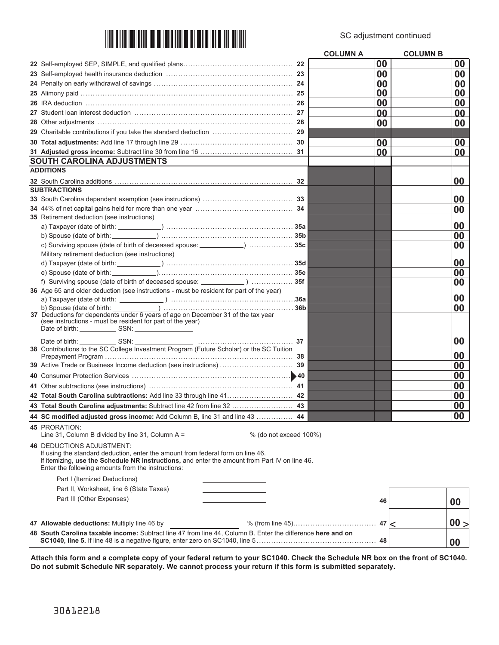

|                                                                                                             | <b>COLUMN A</b> |    | <b>COLUMN B</b> |      |  |
|-------------------------------------------------------------------------------------------------------------|-----------------|----|-----------------|------|--|
|                                                                                                             | 00              |    |                 | 00   |  |
|                                                                                                             | 00              |    |                 | 00   |  |
|                                                                                                             | 00              |    |                 | 00   |  |
|                                                                                                             | 00              |    |                 | 00   |  |
|                                                                                                             | 00              |    |                 | 00   |  |
| 27 Student loan interest deduction …………………………………………………………… 27                                               | 00              |    |                 | 00   |  |
|                                                                                                             | 00              |    |                 | 00   |  |
|                                                                                                             |                 |    |                 |      |  |
|                                                                                                             | 00              |    |                 | 00   |  |
|                                                                                                             | 00              |    |                 | 00   |  |
| <b>SOUTH CAROLINA ADJUSTMENTS</b>                                                                           |                 |    |                 |      |  |
| <b>ADDITIONS</b>                                                                                            |                 |    |                 |      |  |
|                                                                                                             |                 |    |                 | 00   |  |
| <b>SUBTRACTIONS</b>                                                                                         |                 |    |                 |      |  |
|                                                                                                             |                 |    |                 | 00   |  |
|                                                                                                             |                 |    |                 | 00   |  |
| 35 Retirement deduction (see instructions)                                                                  |                 |    |                 |      |  |
|                                                                                                             |                 |    |                 | 00   |  |
|                                                                                                             |                 |    |                 | 00   |  |
| c) Surviving spouse (date of birth of deceased spouse: ____________)  35c                                   |                 |    |                 | 00   |  |
| Military retirement deduction (see instructions)                                                            |                 |    |                 |      |  |
|                                                                                                             |                 |    |                 | 00   |  |
|                                                                                                             |                 |    |                 | 00   |  |
| f) Surviving spouse (date of birth of deceased spouse: ______________)  35f                                 |                 |    |                 | 00   |  |
| 36 Age 65 and older deduction (see instructions - must be resident for part of the year)                    |                 |    |                 | 00   |  |
|                                                                                                             |                 |    |                 | 00   |  |
| 37 Deductions for dependents under 6 years of age on December 31 of the tax year                            |                 |    |                 |      |  |
| (see instructions - must be resident for part of the year)                                                  |                 |    |                 |      |  |
|                                                                                                             |                 |    |                 |      |  |
| Date of birth: SSN:<br>37                                                                                   |                 |    |                 | 00   |  |
| 38 Contributions to the SC College Investment Program (Future Scholar) or the SC Tuition                    |                 |    |                 | 00   |  |
|                                                                                                             |                 |    |                 | 00   |  |
|                                                                                                             |                 |    |                 | 00   |  |
|                                                                                                             |                 |    |                 | 00   |  |
| 42 Total South Carolina subtractions: Add line 33 through line 41 42                                        |                 |    |                 | 00   |  |
| 43 Total South Carolina adjustments: Subtract line 42 from line 32  43                                      |                 |    |                 | 00   |  |
| 44 SC modified adjusted gross income: Add Column B, line 31 and line 43  44                                 |                 |    |                 | 00   |  |
| <b>45 PRORATION:</b>                                                                                        |                 |    |                 |      |  |
| Line 31, Column B divided by line 31, Column A = $\frac{1}{2}$ % (do not exceed 100%)                       |                 |    |                 |      |  |
| <b>46 DEDUCTIONS ADJUSTMENT:</b>                                                                            |                 |    |                 |      |  |
| If using the standard deduction, enter the amount from federal form on line 46.                             |                 |    |                 |      |  |
| If itemizing, use the Schedule NR instructions, and enter the amount from Part IV on line 46.               |                 |    |                 |      |  |
| Enter the following amounts from the instructions:                                                          |                 |    |                 |      |  |
| Part I (Itemized Deductions)                                                                                |                 |    |                 |      |  |
| Part II, Worksheet, line 6 (State Taxes)                                                                    |                 |    |                 |      |  |
| Part III (Other Expenses)                                                                                   |                 | 46 |                 | 00   |  |
|                                                                                                             |                 |    |                 |      |  |
| 47 Allowable deductions: Multiply line 46 by                                                                |                 |    |                 | 00 > |  |
| 48 South Carolina taxable income: Subtract line 47 from line 44, Column B. Enter the difference here and on |                 |    |                 |      |  |
|                                                                                                             |                 |    |                 | 00   |  |

**Attach this form and a complete copy of your federal return to your SC1040. Check the Schedule NR box on the front of SC1040. Do not submit Schedule NR separately. We cannot process your return if this form is submitted separately.**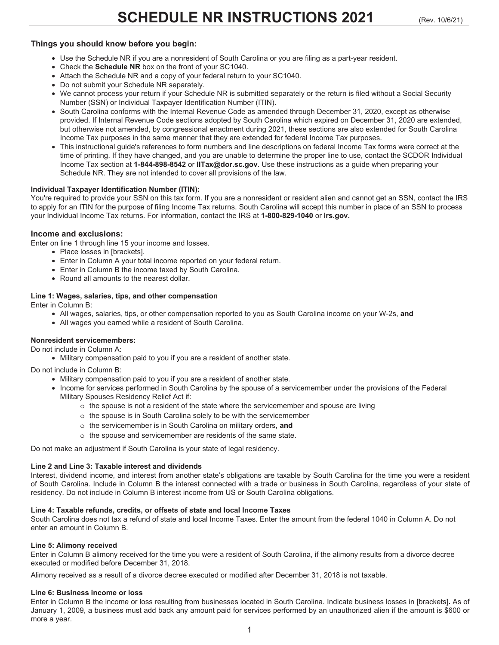# **Things you should know before you begin:**

- Use the Schedule NR if you are a nonresident of South Carolina or you are filing as a part-year resident.
- Check the **Schedule NR** box on the front of your SC1040.
- Attach the Schedule NR and a copy of your federal return to your SC1040.
- Do not submit your Schedule NR separately.
- We cannot process your return if your Schedule NR is submitted separately or the return is filed without a Social Security Number (SSN) or Individual Taxpayer Identification Number (ITIN).
- South Carolina conforms with the Internal Revenue Code as amended through December 31, 2020, except as otherwise provided. If Internal Revenue Code sections adopted by South Carolina which expired on December 31, 2020 are extended, but otherwise not amended, by congressional enactment during 2021, these sections are also extended for South Carolina Income Tax purposes in the same manner that they are extended for federal Income Tax purposes.
- This instructional guide's references to form numbers and line descriptions on federal Income Tax forms were correct at the time of printing. If they have changed, and you are unable to determine the proper line to use, contact the SCDOR Individual Income Tax section at **1-844-898-8542** or **IITax@dor.sc.gov**. Use these instructions as a guide when preparing your Schedule NR. They are not intended to cover all provisions of the law.

# **Individual Taxpayer Identification Number (ITIN):**

You're required to provide your SSN on this tax form. If you are a nonresident or resident alien and cannot get an SSN, contact the IRS to apply for an ITIN for the purpose of filing Income Tax returns. South Carolina will accept this number in place of an SSN to process your Individual Income Tax returns. For information, contact the IRS at **1-800-829-1040** or **irs.gov.** 

# **Income and exclusions:**

Enter on line 1 through line 15 your income and losses.

- Place losses in [brackets].
- Enter in Column A your total income reported on your federal return.
- Enter in Column B the income taxed by South Carolina.
- Round all amounts to the nearest dollar.

# **Line 1: Wages, salaries, tips, and other compensation**

Enter in Column B:

- All wages, salaries, tips, or other compensation reported to you as South Carolina income on your W-2s, **and**
- All wages you earned while a resident of South Carolina.

# **Nonresident servicemembers:**

Do not include in Column A:

• Military compensation paid to you if you are a resident of another state.

Do not include in Column B:

- Military compensation paid to you if you are a resident of another state.
- Income for services performed in South Carolina by the spouse of a servicemember under the provisions of the Federal Military Spouses Residency Relief Act if:
	- $\circ$  the spouse is not a resident of the state where the servicemember and spouse are living
	- o the spouse is in South Carolina solely to be with the servicemember
	- o the servicemember is in South Carolina on military orders, **and**
	- o the spouse and servicemember are residents of the same state.

Do not make an adjustment if South Carolina is your state of legal residency.

## **Line 2 and Line 3: Taxable interest and dividends**

Interest, dividend income, and interest from another state's obligations are taxable by South Carolina for the time you were a resident of South Carolina. Include in Column B the interest connected with a trade or business in South Carolina, regardless of your state of residency. Do not include in Column B interest income from US or South Carolina obligations.

## **Line 4: Taxable refunds, credits, or offsets of state and local Income Taxes**

South Carolina does not tax a refund of state and local Income Taxes. Enter the amount from the federal 1040 in Column A. Do not enter an amount in Column B.

## **Line 5: Alimony received**

Enter in Column B alimony received for the time you were a resident of South Carolina, if the alimony results from a divorce decree executed or modified before December 31, 2018.

Alimony received as a result of a divorce decree executed or modified after December 31, 2018 is not taxable.

## **Line 6: Business income or loss**

Enter in Column B the income or loss resulting from businesses located in South Carolina. Indicate business losses in [brackets]**.** As of January 1, 2009, a business must add back any amount paid for services performed by an unauthorized alien if the amount is \$600 or more a year.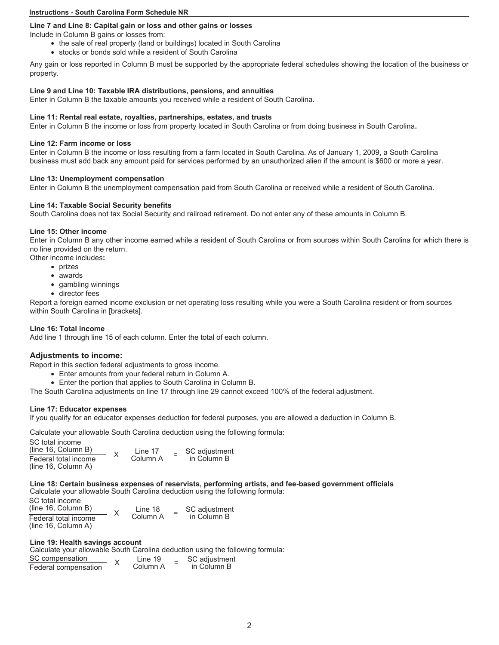# **Line 7 and Line 8: Capital gain or loss and other gains or losses**

Include in Column B gains or losses from:

- the sale of real property (land or buildings) located in South Carolina
- stocks or bonds sold while a resident of South Carolina

Any gain or loss reported in Column B must be supported by the appropriate federal schedules showing the location of the business or property.

# **Line 9 and Line 10: Taxable IRA distributions, pensions, and annuities**

Enter in Column B the taxable amounts you received while a resident of South Carolina.

# **Line 11: Rental real estate, royalties, partnerships, estates, and trusts**

Enter in Column B the income or loss from property located in South Carolina or from doing business in South Carolina**.** 

## **Line 12: Farm income or loss**

Enter in Column B the income or loss resulting from a farm located in South Carolina. As of January 1, 2009, a South Carolina business must add back any amount paid for services performed by an unauthorized alien if the amount is \$600 or more a year.

## **Line 13: Unemployment compensation**

Enter in Column B the unemployment compensation paid from South Carolina or received while a resident of South Carolina.

# **Line 14: Taxable Social Security benefits**

South Carolina does not tax Social Security and railroad retirement. Do not enter any of these amounts in Column B.

# **Line 15: Other income**

Enter in Column B any other income earned while a resident of South Carolina or from sources within South Carolina for which there is no line provided on the return.

Other income includes**:** 

- prizes
- awards
- gambling winnings
- director fees

Report a foreign earned income exclusion or net operating loss resulting while you were a South Carolina resident or from sources within South Carolina in [brackets].

# **Line 16: Total income**

Add line 1 through line 15 of each column. Enter the total of each column.

# **Adjustments to income:**

Report in this section federal adjustments to gross income.

- Enter amounts from your federal return in Column A.
- Enter the portion that applies to South Carolina in Column B.

The South Carolina adjustments on line 17 through line 29 cannot exceed 100% of the federal adjustment.

# **Line 17: Educator expenses**

If you qualify for an educator expenses deduction for federal purposes, you are allowed a deduction in Column B.

Calculate your allowable South Carolina deduction using the following formula:

| SC total income<br>(line 16, Column B)      | Line 17  | SC adjustment |
|---------------------------------------------|----------|---------------|
| Federal total income<br>(line 16, Column A) | Column A | in Column B   |

#### **Line 18: Certain business expenses of reservists, performing artists, and fee-based government officials**  Calculate your allowable South Carolina deduction using the following formula:

| SC total income<br>(line 16, Column B)      | Line 18  | SC adjustment |
|---------------------------------------------|----------|---------------|
| Federal total income<br>(line 16, Column A) | Column A | in Column B   |

## **Line 19: Health savings account**

Calculate your allowable South Carolina deduction using the following formula:

| SC compensation      | Line 19  | SC adjustment |
|----------------------|----------|---------------|
| Federal compensation | Column A | in Column B   |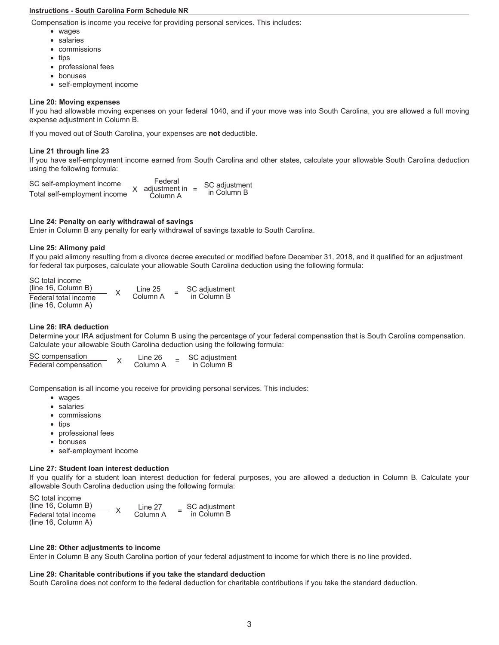Compensation is income you receive for providing personal services. This includes:

- wages
- salaries
- commissions
- tips
- professional fees
- bonuses
- self-employment income

# **Line 20: Moving expenses**

If you had allowable moving expenses on your federal 1040, and if your move was into South Carolina, you are allowed a full moving expense adjustment in Column B.

If you moved out of South Carolina, your expenses are **not** deductible.

# **Line 21 through line 23**

If you have self-employment income earned from South Carolina and other states, calculate your allowable South Carolina deduction using the following formula:

Total self-employment income SC adjustment in Column B SC self-employment income Federal adjustment in XColumn A

# **Line 24: Penalty on early withdrawal of savings**

Enter in Column B any penalty for early withdrawal of savings taxable to South Carolina.

# **Line 25: Alimony paid**

If you paid alimony resulting from a divorce decree executed or modified before December 31, 2018, and it qualified for an adjustment for federal tax purposes, calculate your allowable South Carolina deduction using the following formula:

SC total income

| (line 16, Column B)  | Line 25  | SC adjustment |
|----------------------|----------|---------------|
| Federal total income | Column A | in Column B   |
| (line 16, Column A)  |          |               |

# **Line 26: IRA deduction**

Determine your IRA adjustment for Column B using the percentage of your federal compensation that is South Carolina compensation. Calculate your allowable South Carolina deduction using the following formula:

| SC compensation      | Line 26  | SC adiustment |
|----------------------|----------|---------------|
| Federal compensation | Column A | in Column B   |

Compensation is all income you receive for providing personal services. This includes:

- wages
- salaries
- commissions
- tips
- professional fees
- bonuses
- self-employment income

## **Line 27: Student loan interest deduction**

If you qualify for a student loan interest deduction for federal purposes, you are allowed a deduction in Column B. Calculate your allowable South Carolina deduction using the following formula:

| SC total income<br>(line 16, Column B) | Line 27  | SC adjustment |
|----------------------------------------|----------|---------------|
| Federal total income                   | Column A | in Column B   |
| (line 16, Column A)                    |          |               |

## **Line 28: Other adjustments to income**

Enter in Column B any South Carolina portion of your federal adjustment to income for which there is no line provided.

## **Line 29: Charitable contributions if you take the standard deduction**

South Carolina does not conform to the federal deduction for charitable contributions if you take the standard deduction.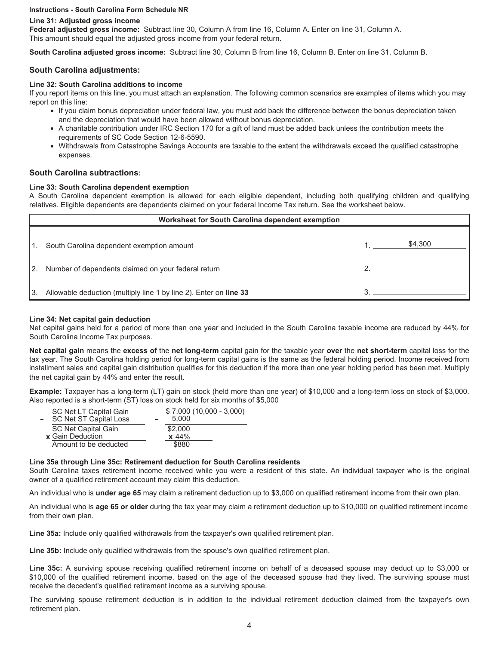### **Line 31: Adjusted gross income**

**Federal adjusted gross income:** Subtract line 30, Column A from line 16, Column A. Enter on line 31, Column A. This amount should equal the adjusted gross income from your federal return.

**South Carolina adjusted gross income:** Subtract line 30, Column B from line 16, Column B. Enter on line 31, Column B.

# **South Carolina adjustments:**

## **Line 32: South Carolina additions to income**

If you report items on this line, you must attach an explanation. The following common scenarios are examples of items which you may report on this line:

- If you claim bonus depreciation under federal law, you must add back the difference between the bonus depreciation taken and the depreciation that would have been allowed without bonus depreciation.
- A charitable contribution under IRC Section 170 for a gift of land must be added back unless the contribution meets the requirements of SC Code Section 12-6-5590.
- Withdrawals from Catastrophe Savings Accounts are taxable to the extent the withdrawals exceed the qualified catastrophe expenses.

# **South Carolina subtractions:**

## **Line 33: South Carolina dependent exemption**

A South Carolina dependent exemption is allowed for each eligible dependent, including both qualifying children and qualifying relatives. Eligible dependents are dependents claimed on your federal Income Tax return. See the worksheet below.

|     | Worksheet for South Carolina dependent exemption                  |  |         |  |  |  |  |
|-----|-------------------------------------------------------------------|--|---------|--|--|--|--|
| 11. | South Carolina dependent exemption amount                         |  | \$4,300 |  |  |  |  |
| "2. | Number of dependents claimed on your federal return               |  |         |  |  |  |  |
| 13. | Allowable deduction (multiply line 1 by line 2). Enter on line 33 |  |         |  |  |  |  |

## **Line 34: Net capital gain deduction**

Net capital gains held for a period of more than one year and included in the South Carolina taxable income are reduced by 44% for South Carolina Income Tax purposes.

**Net capital gain** means the **excess of** the **net long-term** capital gain for the taxable year **over** the **net short-term** capital loss for the tax year. The South Carolina holding period for long-term capital gains is the same as the federal holding period. Income received from installment sales and capital gain distribution qualifies for this deduction if the more than one year holding period has been met. Multiply the net capital gain by 44% and enter the result.

**Example:** Taxpayer has a long-term (LT) gain on stock (held more than one year) of \$10,000 and a long-term loss on stock of \$3,000. Also reported is a short-term (ST) loss on stock held for six months of \$5,000

| $$7,000(10,000 - 3,000)$<br>5.000 |
|-----------------------------------|
| \$2,000                           |
| $x\;44\%$                         |
| \$880                             |
|                                   |

## **Line 35a through Line 35c: Retirement deduction for South Carolina residents**

South Carolina taxes retirement income received while you were a resident of this state. An individual taxpayer who is the original owner of a qualified retirement account may claim this deduction.

An individual who is **under age 65** may claim a retirement deduction up to \$3,000 on qualified retirement income from their own plan.

An individual who is **age 65 or older** during the tax year may claim a retirement deduction up to \$10,000 on qualified retirement income from their own plan.

**Line 35a:** Include only qualified withdrawals from the taxpayer's own qualified retirement plan.

**Line 35b:** Include only qualified withdrawals from the spouse's own qualified retirement plan.

**Line 35c:** A surviving spouse receiving qualified retirement income on behalf of a deceased spouse may deduct up to \$3,000 or \$10,000 of the qualified retirement income, based on the age of the deceased spouse had they lived. The surviving spouse must receive the decedent's qualified retirement income as a surviving spouse.

The surviving spouse retirement deduction is in addition to the individual retirement deduction claimed from the taxpayer's own retirement plan.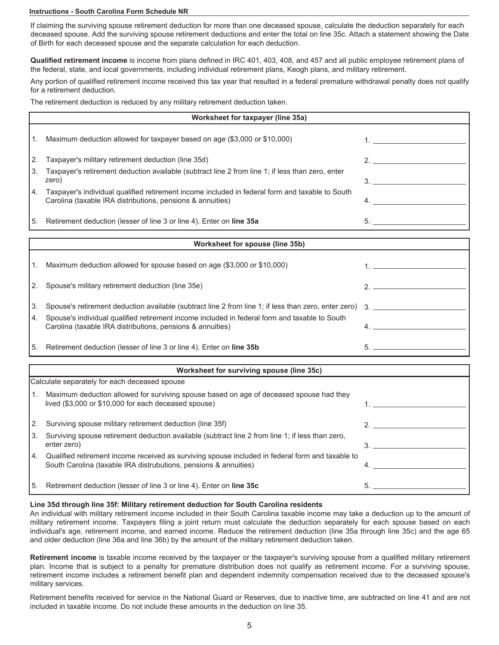If claiming the surviving spouse retirement deduction for more than one deceased spouse, calculate the deduction separately for each deceased spouse. Add the surviving spouse retirement deductions and enter the total on line 35c. Attach a statement showing the Date of Birth for each deceased spouse and the separate calculation for each deduction.

**Qualified retirement income** is income from plans defined in IRC 401, 403, 408, and 457 and all public employee retirement plans of the federal, state, and local governments, including individual retirement plans, Keogh plans, and military retirement.

Any portion of qualified retirement income received this tax year that resulted in a federal premature withdrawal penalty does not qualify for a retirement deduction.

The retirement deduction is reduced by any military retirement deduction taken.

|    | Worksheet for taxpayer (line 35a)                                                                                                                             |  |  |  |  |  |  |
|----|---------------------------------------------------------------------------------------------------------------------------------------------------------------|--|--|--|--|--|--|
|    | Maximum deduction allowed for taxpayer based on age (\$3,000 or \$10,000)                                                                                     |  |  |  |  |  |  |
| 2. | Taxpayer's military retirement deduction (line 35d)                                                                                                           |  |  |  |  |  |  |
| 3. | Taxpayer's retirement deduction available (subtract line 2 from line 1; if less than zero, enter<br>zero)                                                     |  |  |  |  |  |  |
| 4. | Taxpayer's individual qualified retirement income included in federal form and taxable to South<br>Carolina (taxable IRA distributions, pensions & annuities) |  |  |  |  |  |  |
| 5. | Retirement deduction (lesser of line 3 or line 4). Enter on line 35a                                                                                          |  |  |  |  |  |  |

|      | Worksheet for spouse (line 35b)                                                                                                                             |  |  |  |  |  |
|------|-------------------------------------------------------------------------------------------------------------------------------------------------------------|--|--|--|--|--|
| l 1. | Maximum deduction allowed for spouse based on age (\$3,000 or \$10,000)                                                                                     |  |  |  |  |  |
|      | [2. Spouse's military retirement deduction (line 35e)                                                                                                       |  |  |  |  |  |
| I 3. | Spouse's retirement deduction available (subtract line 2 from line 1; if less than zero, enter zero) 3.                                                     |  |  |  |  |  |
| 14.  | Spouse's individual qualified retirement income included in federal form and taxable to South<br>Carolina (taxable IRA distributions, pensions & annuities) |  |  |  |  |  |
| I 5. | Retirement deduction (lesser of line 3 or line 4). Enter on line 35b                                                                                        |  |  |  |  |  |

|     | Worksheet for surviving spouse (line 35c)                                                                                                                            |  |  |
|-----|----------------------------------------------------------------------------------------------------------------------------------------------------------------------|--|--|
|     | Calculate separately for each deceased spouse                                                                                                                        |  |  |
|     | Maximum deduction allowed for surviving spouse based on age of deceased spouse had they<br>lived (\$3,000 or \$10,000 for each deceased spouse)                      |  |  |
|     | Surviving spouse military retirement deduction (line 35f)                                                                                                            |  |  |
| 13. | Surviving spouse retirement deduction available (subtract line 2 from line 1; if less than zero,<br>enter zero)                                                      |  |  |
| 4.  | Qualified retirement income received as surviving spouse included in federal form and taxable to<br>South Carolina (taxable IRA distrubutions, pensions & annuities) |  |  |
| 5.  | Retirement deduction (lesser of line 3 or line 4). Enter on line 35c                                                                                                 |  |  |

## **Line 35d through line 35f: Military retirement deduction for South Carolina residents**

An individual with military retirement income included in their South Carolina taxable income may take a deduction up to the amount of military retirement income. Taxpayers filing a joint return must calculate the deduction separately for each spouse based on each individual's age, retirement income, and earned income. Reduce the retirement deduction (line 35a through line 35c) and the age 65 and older deduction (line 36a and line 36b) by the amount of the military retirement deduction taken.

**Retirement income** is taxable income received by the taxpayer or the taxpayer's surviving spouse from a qualified military retirement plan. Income that is subject to a penalty for premature distribution does not qualify as retirement income. For a surviving spouse, retirement income includes a retirement benefit plan and dependent indemnity compensation received due to the deceased spouse's military services.

Retirement benefits received for service in the National Guard or Reserves, due to inactive time, are subtracted on line 41 and are not included in taxable income. Do not include these amounts in the deduction on line 35.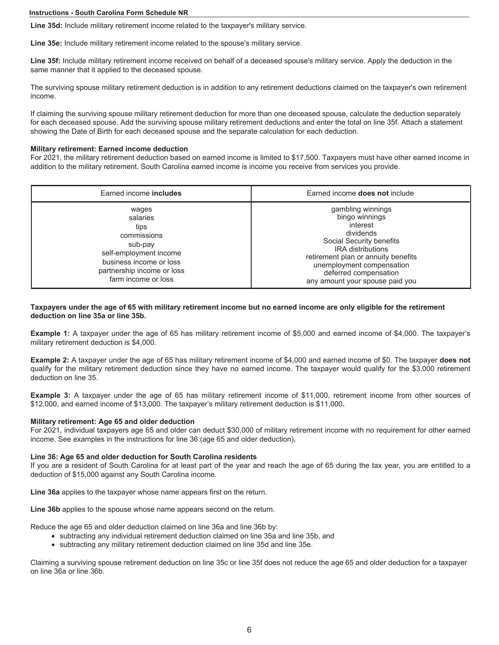**Line 35d:** Include military retirement income related to the taxpayer's military service.

**Line 35e:** Include military retirement income related to the spouse's military service.

**Line 35f:** Include military retirement income received on behalf of a deceased spouse's military service. Apply the deduction in the same manner that it applied to the deceased spouse.

The surviving spouse military retirement deduction is in addition to any retirement deductions claimed on the taxpayer's own retirement income.

If claiming the surviving spouse military retirement deduction for more than one deceased spouse, calculate the deduction separately for each deceased spouse. Add the surviving spouse military retirement deductions and enter the total on line 35f. Attach a statement showing the Date of Birth for each deceased spouse and the separate calculation for each deduction.

#### **Military retirement: Earned income deduction**

For 2021, the military retirement deduction based on earned income is limited to \$17,500. Taxpayers must have other earned income in addition to the military retirement. South Carolina earned income is income you receive from services you provide.

| Earned income <b>includes</b>                                                                                                                                 | Earned income <b>does not</b> include                                                                                                                                                                                                                |
|---------------------------------------------------------------------------------------------------------------------------------------------------------------|------------------------------------------------------------------------------------------------------------------------------------------------------------------------------------------------------------------------------------------------------|
| wages<br>salaries<br>tips<br>commissions<br>sub-pay<br>self-employment income<br>business income or loss<br>partnership income or loss<br>farm income or loss | gambling winnings<br>bingo winnings<br>interest<br>dividends<br>Social Security benefits<br><b>IRA</b> distributions<br>retirement plan or annuity benefits<br>unemployment compensation<br>deferred compensation<br>any amount your spouse paid you |

**Taxpayers under the age of 65 with military retirement income but no earned income are only eligible for the retirement deduction on line 35a or line 35b.** 

**Example 1:** A taxpayer under the age of 65 has military retirement income of \$5,000 and earned income of \$4,000. The taxpayer's military retirement deduction is \$4,000.

**Example 2:** A taxpayer under the age of 65 has military retirement income of \$4,000 and earned income of \$0. The taxpayer **does not** qualify for the military retirement deduction since they have no earned income. The taxpayer would qualify for the \$3,000 retirement deduction on line 35.

**Example 3:** A taxpayer under the age of 65 has military retirement income of \$11,000, retirement income from other sources of \$12,000, and earned income of \$13,000. The taxpayer's military retirement deduction is \$11,000**.** 

### **Military retirement: Age 65 and older deduction**

For 2021, individual taxpayers age 65 and older can deduct \$30,000 of military retirement income with no requirement for other earned income. See examples in the instructions for line 36 (age 65 and older deduction)**.**

### **Line 36: Age 65 and older deduction for South Carolina residents**

If you are a resident of South Carolina for at least part of the year and reach the age of 65 during the tax year, you are entitled to a deduction of \$15,000 against any South Carolina income.

**Line 36a** applies to the taxpayer whose name appears first on the return.

**Line 36b** applies to the spouse whose name appears second on the return.

Reduce the age 65 and older deduction claimed on line 36a and line 36b by:

- subtracting any individual retirement deduction claimed on line 35a and line 35b, and
- subtracting any military retirement deduction claimed on line 35d and line 35e.

Claiming a surviving spouse retirement deduction on line 35c or line 35f does not reduce the age 65 and older deduction for a taxpayer on line 36a or line 36b.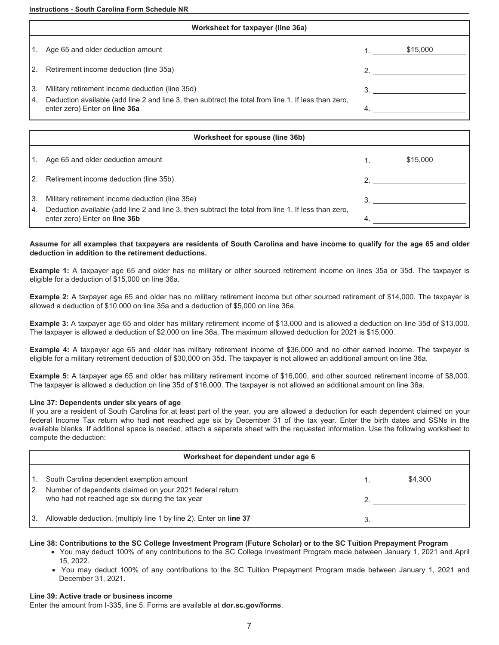| Worksheet for taxpayer (line 36a) |                                                                                                                                      |    |          |
|-----------------------------------|--------------------------------------------------------------------------------------------------------------------------------------|----|----------|
|                                   | Age 65 and older deduction amount                                                                                                    |    | \$15,000 |
| I2.                               | Retirement income deduction (line 35a)                                                                                               |    |          |
| I3.                               | Military retirement income deduction (line 35d)                                                                                      | 3. |          |
| 14.                               | Deduction available (add line 2 and line 3, then subtract the total from line 1. If less than zero,<br>enter zero) Enter on line 36a | 4. |          |

|            | Worksheet for spouse (line 36b)                                                                                                                        |  |          |  |
|------------|--------------------------------------------------------------------------------------------------------------------------------------------------------|--|----------|--|
|            | Age 65 and older deduction amount                                                                                                                      |  | \$15,000 |  |
| I2.        | Retirement income deduction (line 35b)                                                                                                                 |  |          |  |
| 13.<br>14. | Military retirement income deduction (line 35e)<br>Deduction available (add line 2 and line 3, then subtract the total from line 1. If less than zero, |  |          |  |
|            | enter zero) Enter on line 36b                                                                                                                          |  |          |  |

# **Assume for all examples that taxpayers are residents of South Carolina and have income to qualify for the age 65 and older deduction in addition to the retirement deductions.**

**Example 1:** A taxpayer age 65 and older has no military or other sourced retirement income on lines 35a or 35d. The taxpayer is eligible for a deduction of \$15,000 on line 36a.

**Example 2:** A taxpayer age 65 and older has no military retirement income but other sourced retirement of \$14,000. The taxpayer is allowed a deduction of \$10,000 on line 35a and a deduction of \$5,000 on line 36a.

**Example 3:** A taxpayer age 65 and older has military retirement income of \$13,000 and is allowed a deduction on line 35d of \$13,000. The taxpayer is allowed a deduction of \$2,000 on line 36a. The maximum allowed deduction for 2021 is \$15,000.

**Example 4:** A taxpayer age 65 and older has military retirement income of \$36,000 and no other earned income. The taxpayer is eligible for a military retirement deduction of \$30,000 on 35d. The taxpayer is not allowed an additional amount on line 36a.

**Example 5:** A taxpayer age 65 and older has military retirement income of \$16,000, and other sourced retirement income of \$8,000. The taxpayer is allowed a deduction on line 35d of \$16,000. The taxpayer is not allowed an additional amount on line 36a.

## **Line 37: Dependents under six years of age**

If you are a resident of South Carolina for at least part of the year, you are allowed a deduction for each dependent claimed on your federal Income Tax return who had **not** reached age six by December 31 of the tax year. Enter the birth dates and SSNs in the available blanks. If additional space is needed, attach a separate sheet with the requested information. Use the following worksheet to compute the deduction:

|     | Worksheet for dependent under age 6                                                                         |  |         |  |
|-----|-------------------------------------------------------------------------------------------------------------|--|---------|--|
|     | South Carolina dependent exemption amount                                                                   |  | \$4.300 |  |
| 12. | Number of dependents claimed on your 2021 federal return<br>who had not reached age six during the tax year |  |         |  |
|     | Allowable deduction, (multiply line 1 by line 2). Enter on line 37                                          |  |         |  |

## **Line 38: Contributions to the SC College Investment Program (Future Scholar) or to the SC Tuition Prepayment Program**

- You may deduct 100% of any contributions to the SC College Investment Program made between January 1, 2021 and April 15, 2022.
- You may deduct 100% of any contributions to the SC Tuition Prepayment Program made between January 1, 2021 and December 31, 2021.

## **Line 39: Active trade or business income**

Enter the amount from I-335, line 5. Forms are available at **dor.sc.gov/forms**.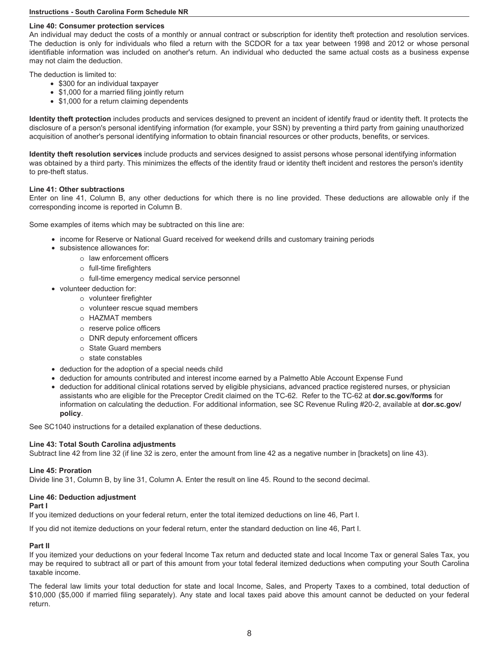## **Line 40: Consumer protection services**

An individual may deduct the costs of a monthly or annual contract or subscription for identity theft protection and resolution services. The deduction is only for individuals who filed a return with the SCDOR for a tax year between 1998 and 2012 or whose personal identifiable information was included on another's return. An individual who deducted the same actual costs as a business expense may not claim the deduction.

The deduction is limited to:

- \$300 for an individual taxpayer
- \$1,000 for a married filing jointly return
- \$1,000 for a return claiming dependents

**Identity theft protection** includes products and services designed to prevent an incident of identify fraud or identity theft. It protects the disclosure of a person's personal identifying information (for example, your SSN) by preventing a third party from gaining unauthorized acquisition of another's personal identifying information to obtain financial resources or other products, benefits, or services.

**Identity theft resolution services** include products and services designed to assist persons whose personal identifying information was obtained by a third party. This minimizes the effects of the identity fraud or identity theft incident and restores the person's identity to pre-theft status.

## **Line 41: Other subtractions**

Enter on line 41, Column B, any other deductions for which there is no line provided. These deductions are allowable only if the corresponding income is reported in Column B.

Some examples of items which may be subtracted on this line are:

- income for Reserve or National Guard received for weekend drills and customary training periods
- subsistence allowances for:
	- o law enforcement officers
	- o full-time firefighters
		- o full-time emergency medical service personnel
- volunteer deduction for:
	- o volunteer firefighter
		- o volunteer rescue squad members
		- o HAZMAT members
		- o reserve police officers
		- o DNR deputy enforcement officers
		- o State Guard members
		- o state constables
- deduction for the adoption of a special needs child
- deduction for amounts contributed and interest income earned by a Palmetto Able Account Expense Fund
- deduction for additional clinical rotations served by eligible physicians, advanced practice registered nurses, or physician assistants who are eligible for the Preceptor Credit claimed on the TC-62. Refer to the TC-62 at **dor.sc.gov/forms** for information on calculating the deduction. For additional information, see SC Revenue Ruling #20-2, available at **dor.sc.gov/ policy**.

See SC1040 instructions for a detailed explanation of these deductions.

#### **Line 43: Total South Carolina adjustments**

Subtract line 42 from line 32 (if line 32 is zero, enter the amount from line 42 as a negative number in [brackets] on line 43).

### **Line 45: Proration**

Divide line 31, Column B, by line 31, Column A. Enter the result on line 45. Round to the second decimal.

## **Line 46: Deduction adjustment**

#### **Part I**

If you itemized deductions on your federal return, enter the total itemized deductions on line 46, Part I.

If you did not itemize deductions on your federal return, enter the standard deduction on line 46, Part I.

## **Part II**

If you itemized your deductions on your federal Income Tax return and deducted state and local Income Tax or general Sales Tax, you may be required to subtract all or part of this amount from your total federal itemized deductions when computing your South Carolina taxable income.

The federal law limits your total deduction for state and local Income, Sales, and Property Taxes to a combined, total deduction of \$10,000 (\$5,000 if married filing separately). Any state and local taxes paid above this amount cannot be deducted on your federal return.